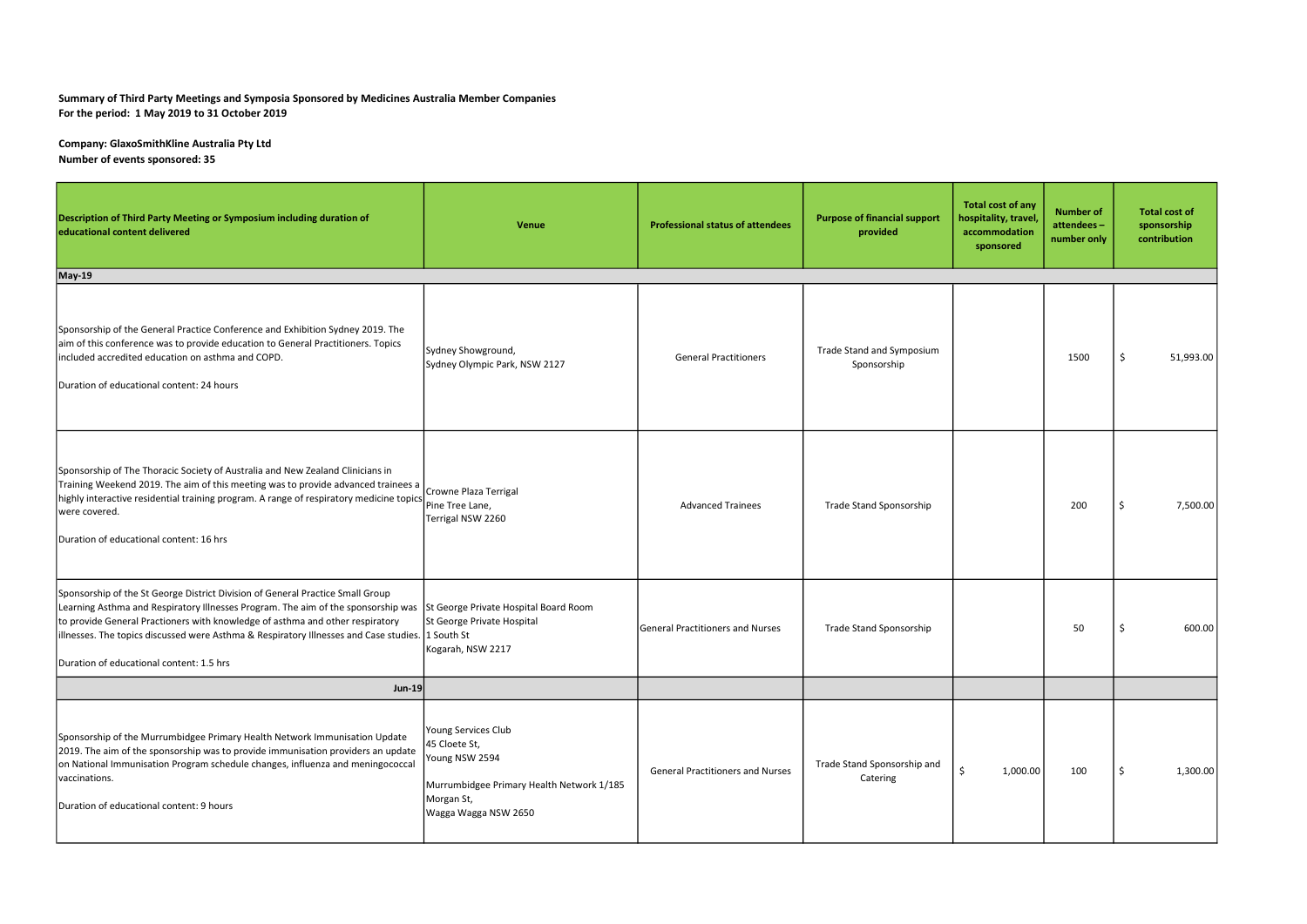## Summary of Third Party Meetings and Symposia Sponsored by Medicines Australia Member Companies For the period: 1 May 2019 to 31 October 2019

Company: GlaxoSmithKline Australia Pty Ltd Number of events sponsored: 35

| Description of Third Party Meeting or Symposium including duration of<br>educational content delivered                                                                                                                                                                                                                                                                                                                                     | Venue                                                                                                                                     | <b>Professional status of attendees</b> | <b>Purpose of financial support</b><br>provided | Total cost of any<br>hospitality, travel,<br>accommodation<br>sponsored | <b>Number of</b><br>attendees-<br>number only | <b>Total cost of</b><br>sponsorship<br>contribution |
|--------------------------------------------------------------------------------------------------------------------------------------------------------------------------------------------------------------------------------------------------------------------------------------------------------------------------------------------------------------------------------------------------------------------------------------------|-------------------------------------------------------------------------------------------------------------------------------------------|-----------------------------------------|-------------------------------------------------|-------------------------------------------------------------------------|-----------------------------------------------|-----------------------------------------------------|
| May-19                                                                                                                                                                                                                                                                                                                                                                                                                                     |                                                                                                                                           |                                         |                                                 |                                                                         |                                               |                                                     |
| Sponsorship of the General Practice Conference and Exhibition Sydney 2019. The<br>aim of this conference was to provide education to General Practitioners. Topics<br>included accredited education on asthma and COPD.<br>Duration of educational content: 24 hours                                                                                                                                                                       | Sydney Showground,<br>Sydney Olympic Park, NSW 2127                                                                                       | <b>General Practitioners</b>            | Trade Stand and Symposium<br>Sponsorship        |                                                                         | 1500                                          | -\$<br>51,993.00                                    |
| Sponsorship of The Thoracic Society of Australia and New Zealand Clinicians in<br>Training Weekend 2019. The aim of this meeting was to provide advanced trainees a<br>  highly interactive residential training program. A range of respiratory medicine topics<br>were covered.<br>Duration of educational content: 16 hrs                                                                                                               | Crowne Plaza Terrigal<br>Pine Tree Lane,<br>Terrigal NSW 2260                                                                             | <b>Advanced Trainees</b>                | Trade Stand Sponsorship                         |                                                                         | 200                                           | 7,500.00                                            |
| Sponsorship of the St George District Division of General Practice Small Group<br>Learning Asthma and Respiratory Illnesses Program. The aim of the sponsorship was St George Private Hospital Board Room<br>to provide General Practioners with knowledge of asthma and other respiratory<br>illnesses. The topics discussed were Asthma & Respiratory Illnesses and Case studies. 1 South St<br>Duration of educational content: 1.5 hrs | St George Private Hospital<br>Kogarah, NSW 2217                                                                                           | <b>General Practitioners and Nurses</b> | Trade Stand Sponsorship                         |                                                                         | 50                                            | 600.00                                              |
| <b>Jun-19</b>                                                                                                                                                                                                                                                                                                                                                                                                                              |                                                                                                                                           |                                         |                                                 |                                                                         |                                               |                                                     |
| Sponsorship of the Murrumbidgee Primary Health Network Immunisation Update<br>2019. The aim of the sponsorship was to provide immunisation providers an update<br>on National Immunisation Program schedule changes, influenza and meningococcal<br>vaccinations.<br>Duration of educational content: 9 hours                                                                                                                              | Young Services Club<br>45 Cloete St,<br>Young NSW 2594<br>Murrumbidgee Primary Health Network 1/185<br>Morgan St,<br>Wagga Wagga NSW 2650 | <b>General Practitioners and Nurses</b> | Trade Stand Sponsorship and<br>Catering         | -Ś<br>1,000.00                                                          | 100                                           | 1,300.00<br>-S                                      |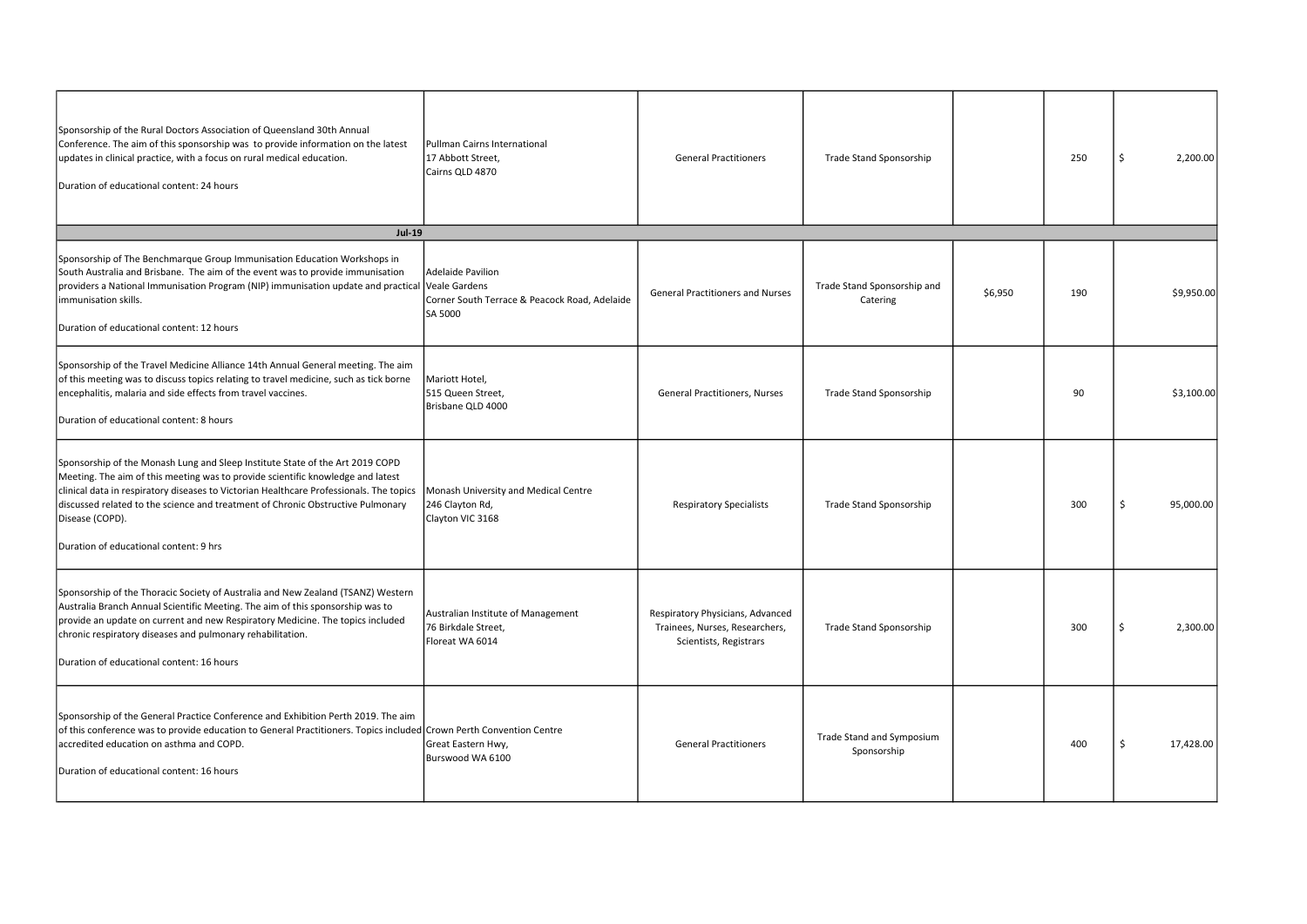| Sponsorship of the Rural Doctors Association of Queensland 30th Annual<br>Conference. The aim of this sponsorship was to provide information on the latest<br>updates in clinical practice, with a focus on rural medical education.<br>Duration of educational content: 24 hours                                                                                                                           | Pullman Cairns International<br>17 Abbott Street,<br>Cairns QLD 4870          | <b>General Practitioners</b>                                                                 | Trade Stand Sponsorship                  |         | 250 | 2,200.00        |
|-------------------------------------------------------------------------------------------------------------------------------------------------------------------------------------------------------------------------------------------------------------------------------------------------------------------------------------------------------------------------------------------------------------|-------------------------------------------------------------------------------|----------------------------------------------------------------------------------------------|------------------------------------------|---------|-----|-----------------|
| <b>Jul-19</b>                                                                                                                                                                                                                                                                                                                                                                                               |                                                                               |                                                                                              |                                          |         |     |                 |
| Sponsorship of The Benchmarque Group Immunisation Education Workshops in<br>South Australia and Brisbane. The aim of the event was to provide immunisation<br>providers a National Immunisation Program (NIP) immunisation update and practical Veale Gardens<br>immunisation skills.<br>Duration of educational content: 12 hours                                                                          | Adelaide Pavilion<br>Corner South Terrace & Peacock Road, Adelaide<br>SA 5000 | <b>General Practitioners and Nurses</b>                                                      | Trade Stand Sponsorship and<br>Catering  | \$6,950 | 190 | \$9,950.00      |
| Sponsorship of the Travel Medicine Alliance 14th Annual General meeting. The aim<br>of this meeting was to discuss topics relating to travel medicine, such as tick borne<br>encephalitis, malaria and side effects from travel vaccines.<br>Duration of educational content: 8 hours                                                                                                                       | Mariott Hotel,<br>515 Queen Street,<br>Brisbane QLD 4000                      | <b>General Practitioners, Nurses</b>                                                         | Trade Stand Sponsorship                  |         | 90  | \$3,100.00      |
| Sponsorship of the Monash Lung and Sleep Institute State of the Art 2019 COPD<br>Meeting. The aim of this meeting was to provide scientific knowledge and latest<br>clinical data in respiratory diseases to Victorian Healthcare Professionals. The topics<br>discussed related to the science and treatment of Chronic Obstructive Pulmonary<br>Disease (COPD).<br>Duration of educational content: 9 hrs | Monash University and Medical Centre<br>246 Clayton Rd,<br>Clayton VIC 3168   | <b>Respiratory Specialists</b>                                                               | Trade Stand Sponsorship                  |         | 300 | -Ś<br>95,000.00 |
| Sponsorship of the Thoracic Society of Australia and New Zealand (TSANZ) Western<br>Australia Branch Annual Scientific Meeting. The aim of this sponsorship was to<br>provide an update on current and new Respiratory Medicine. The topics included<br>chronic respiratory diseases and pulmonary rehabilitation.<br>Duration of educational content: 16 hours                                             | Australian Institute of Management<br>76 Birkdale Street,<br>Floreat WA 6014  | Respiratory Physicians, Advanced<br>Trainees, Nurses, Researchers,<br>Scientists, Registrars | Trade Stand Sponsorship                  |         | 300 | 2,300.00        |
| Sponsorship of the General Practice Conference and Exhibition Perth 2019. The aim<br>of this conference was to provide education to General Practitioners. Topics included Crown Perth Convention Centre<br>accredited education on asthma and COPD.<br>Duration of educational content: 16 hours                                                                                                           | Great Eastern Hwy,<br>Burswood WA 6100                                        | <b>General Practitioners</b>                                                                 | Trade Stand and Symposium<br>Sponsorship |         | 400 | 17,428.00       |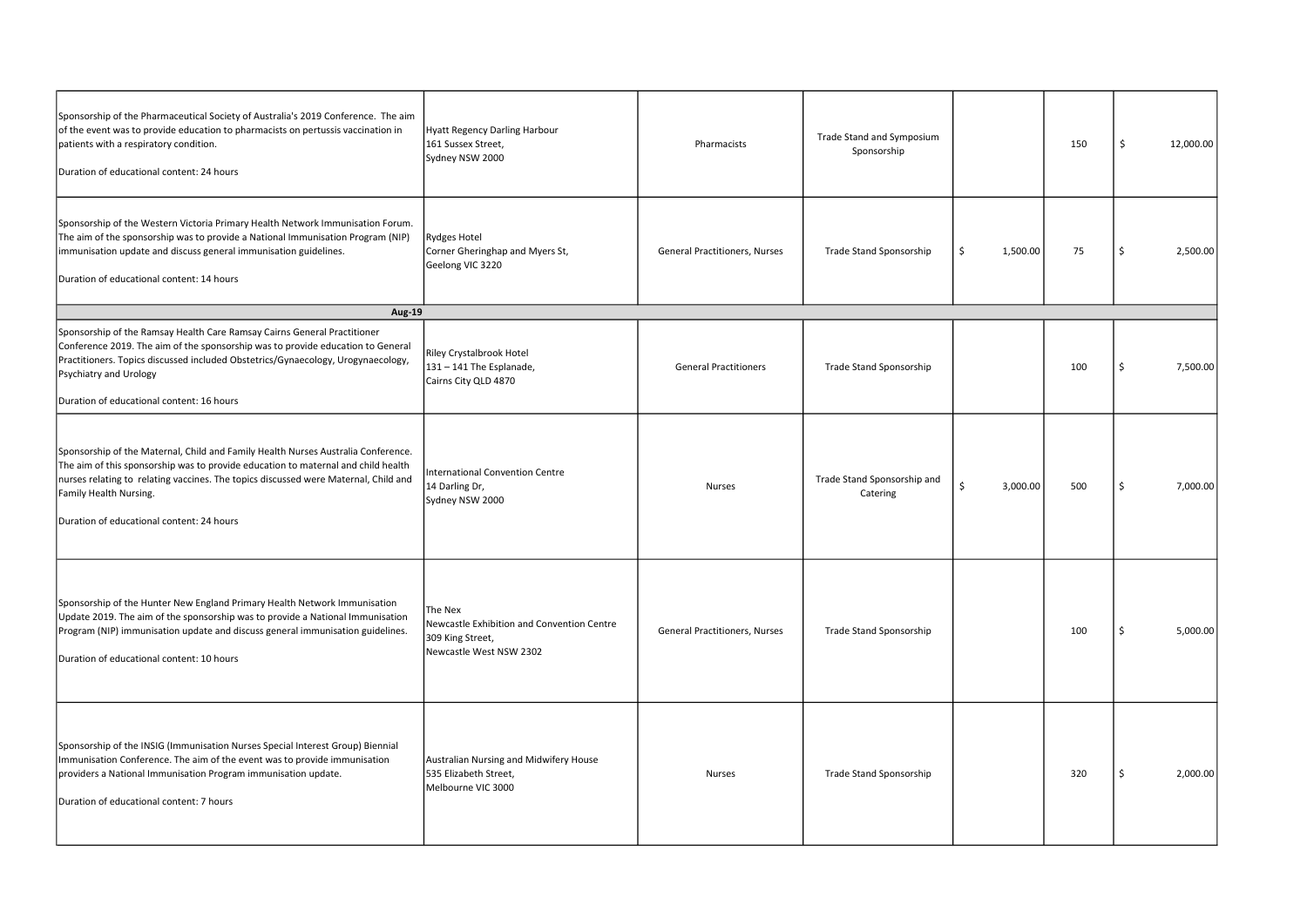| Sponsorship of the Pharmaceutical Society of Australia's 2019 Conference. The aim<br>of the event was to provide education to pharmacists on pertussis vaccination in<br>patients with a respiratory condition.<br>Duration of educational content: 24 hours                                                                         | Hyatt Regency Darling Harbour<br>161 Sussex Street,<br>Sydney NSW 2000                               | Pharmacists                          | Trade Stand and Symposium<br>Sponsorship |                | 150 | -\$ | 12,000.00 |
|--------------------------------------------------------------------------------------------------------------------------------------------------------------------------------------------------------------------------------------------------------------------------------------------------------------------------------------|------------------------------------------------------------------------------------------------------|--------------------------------------|------------------------------------------|----------------|-----|-----|-----------|
| Sponsorship of the Western Victoria Primary Health Network Immunisation Forum.<br>The aim of the sponsorship was to provide a National Immunisation Program (NIP)<br>immunisation update and discuss general immunisation guidelines.<br>Duration of educational content: 14 hours                                                   | Rydges Hotel<br>Corner Gheringhap and Myers St,<br>Geelong VIC 3220                                  | <b>General Practitioners, Nurses</b> | Trade Stand Sponsorship                  | 1,500.00<br>\$ | 75  | -Ś  | 2,500.00  |
| <b>Aug-19</b>                                                                                                                                                                                                                                                                                                                        |                                                                                                      |                                      |                                          |                |     |     |           |
| Sponsorship of the Ramsay Health Care Ramsay Cairns General Practitioner<br>Conference 2019. The aim of the sponsorship was to provide education to General<br>Practitioners. Topics discussed included Obstetrics/Gynaecology, Urogynaecology,<br>Psychiatry and Urology<br>Duration of educational content: 16 hours               | Riley Crystalbrook Hotel<br>131 - 141 The Esplanade,<br>Cairns City QLD 4870                         | <b>General Practitioners</b>         | Trade Stand Sponsorship                  |                | 100 |     | 7,500.00  |
| Sponsorship of the Maternal, Child and Family Health Nurses Australia Conference.<br>The aim of this sponsorship was to provide education to maternal and child health<br>nurses relating to relating vaccines. The topics discussed were Maternal, Child and<br>Family Health Nursing.<br>Duration of educational content: 24 hours | International Convention Centre<br>14 Darling Dr,<br>Sydney NSW 2000                                 | <b>Nurses</b>                        | Trade Stand Sponsorship and<br>Catering  | Ŝ.<br>3,000.00 | 500 |     | 7,000.00  |
| Sponsorship of the Hunter New England Primary Health Network Immunisation<br>Update 2019. The aim of the sponsorship was to provide a National Immunisation<br>Program (NIP) immunisation update and discuss general immunisation guidelines.<br>Duration of educational content: 10 hours                                           | The Nex<br>Newcastle Exhibition and Convention Centre<br>309 King Street,<br>Newcastle West NSW 2302 | <b>General Practitioners, Nurses</b> | Trade Stand Sponsorship                  |                | 100 |     | 5,000.00  |
| Sponsorship of the INSIG (Immunisation Nurses Special Interest Group) Biennial<br>Immunisation Conference. The aim of the event was to provide immunisation<br>providers a National Immunisation Program immunisation update.<br>Duration of educational content: 7 hours                                                            | Australian Nursing and Midwifery House<br>535 Elizabeth Street,<br>Melbourne VIC 3000                | <b>Nurses</b>                        | Trade Stand Sponsorship                  |                | 320 |     | 2,000.00  |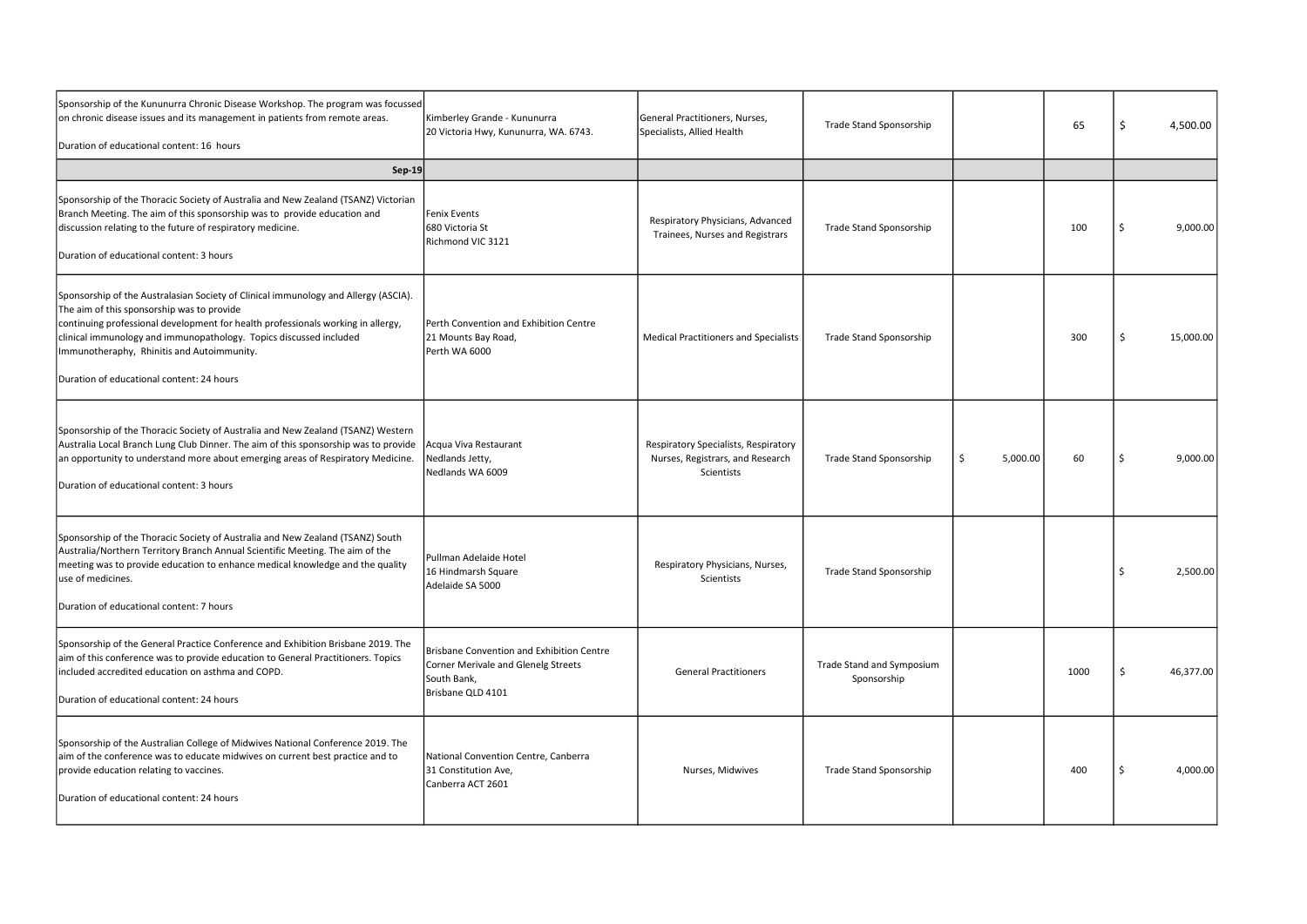| Sponsorship of the Kununurra Chronic Disease Workshop. The program was focussed<br>on chronic disease issues and its management in patients from remote areas.<br>Duration of educational content: 16 hours                                                                                                                                                                            | Kimberley Grande - Kununurra<br>20 Victoria Hwy, Kununurra, WA. 6743.                                                | General Practitioners, Nurses,<br>Specialists, Allied Health                           | Trade Stand Sponsorship                  |               | 65   | -S  | 4,500.00  |
|----------------------------------------------------------------------------------------------------------------------------------------------------------------------------------------------------------------------------------------------------------------------------------------------------------------------------------------------------------------------------------------|----------------------------------------------------------------------------------------------------------------------|----------------------------------------------------------------------------------------|------------------------------------------|---------------|------|-----|-----------|
| <b>Sep-19</b>                                                                                                                                                                                                                                                                                                                                                                          |                                                                                                                      |                                                                                        |                                          |               |      |     |           |
| Sponsorship of the Thoracic Society of Australia and New Zealand (TSANZ) Victorian<br>Branch Meeting. The aim of this sponsorship was to provide education and<br>discussion relating to the future of respiratory medicine.<br>Duration of educational content: 3 hours                                                                                                               | lFenix Events<br>680 Victoria St<br>Richmond VIC 3121                                                                | Respiratory Physicians, Advanced<br>Trainees, Nurses and Registrars                    | Trade Stand Sponsorship                  |               | 100  |     | 9,000.00  |
| Sponsorship of the Australasian Society of Clinical immunology and Allergy (ASCIA).<br>The aim of this sponsorship was to provide<br>continuing professional development for health professionals working in allergy,<br>clinical immunology and immunopathology. Topics discussed included<br>Immunotheraphy, Rhinitis and Autoimmunity.<br>Duration of educational content: 24 hours | Perth Convention and Exhibition Centre<br>21 Mounts Bay Road,<br>Perth WA 6000                                       | <b>Medical Practitioners and Specialists</b>                                           | <b>Trade Stand Sponsorship</b>           |               | 300  | - Ś | 15,000.00 |
| Sponsorship of the Thoracic Society of Australia and New Zealand (TSANZ) Western<br>Australia Local Branch Lung Club Dinner. The aim of this sponsorship was to provide<br>an opportunity to understand more about emerging areas of Respiratory Medicine.<br>Duration of educational content: 3 hours                                                                                 | Acqua Viva Restaurant<br>Nedlands Jetty,<br>Nedlands WA 6009                                                         | Respiratory Specialists, Respiratory<br>Nurses, Registrars, and Research<br>Scientists | Trade Stand Sponsorship                  | 5,000.00<br>Ŝ | 60   |     | 9,000.00  |
| Sponsorship of the Thoracic Society of Australia and New Zealand (TSANZ) South<br>Australia/Northern Territory Branch Annual Scientific Meeting. The aim of the<br>meeting was to provide education to enhance medical knowledge and the quality<br>use of medicines.<br>Duration of educational content: 7 hours                                                                      | Pullman Adelaide Hotel<br>16 Hindmarsh Square<br>Adelaide SA 5000                                                    | Respiratory Physicians, Nurses,<br>Scientists                                          | Trade Stand Sponsorship                  |               |      |     | 2,500.00  |
| Sponsorship of the General Practice Conference and Exhibition Brisbane 2019. The<br>aim of this conference was to provide education to General Practitioners. Topics<br>included accredited education on asthma and COPD.<br>Duration of educational content: 24 hours                                                                                                                 | Brisbane Convention and Exhibition Centre<br>Corner Merivale and Glenelg Streets<br>South Bank,<br>Brisbane QLD 4101 | <b>General Practitioners</b>                                                           | Trade Stand and Symposium<br>Sponsorship |               | 1000 | -\$ | 46,377.00 |
| Sponsorship of the Australian College of Midwives National Conference 2019. The<br>aim of the conference was to educate midwives on current best practice and to<br>provide education relating to vaccines.<br>Duration of educational content: 24 hours                                                                                                                               | National Convention Centre, Canberra<br>31 Constitution Ave,<br>Canberra ACT 2601                                    | Nurses, Midwives                                                                       | Trade Stand Sponsorship                  |               | 400  |     | 4,000.00  |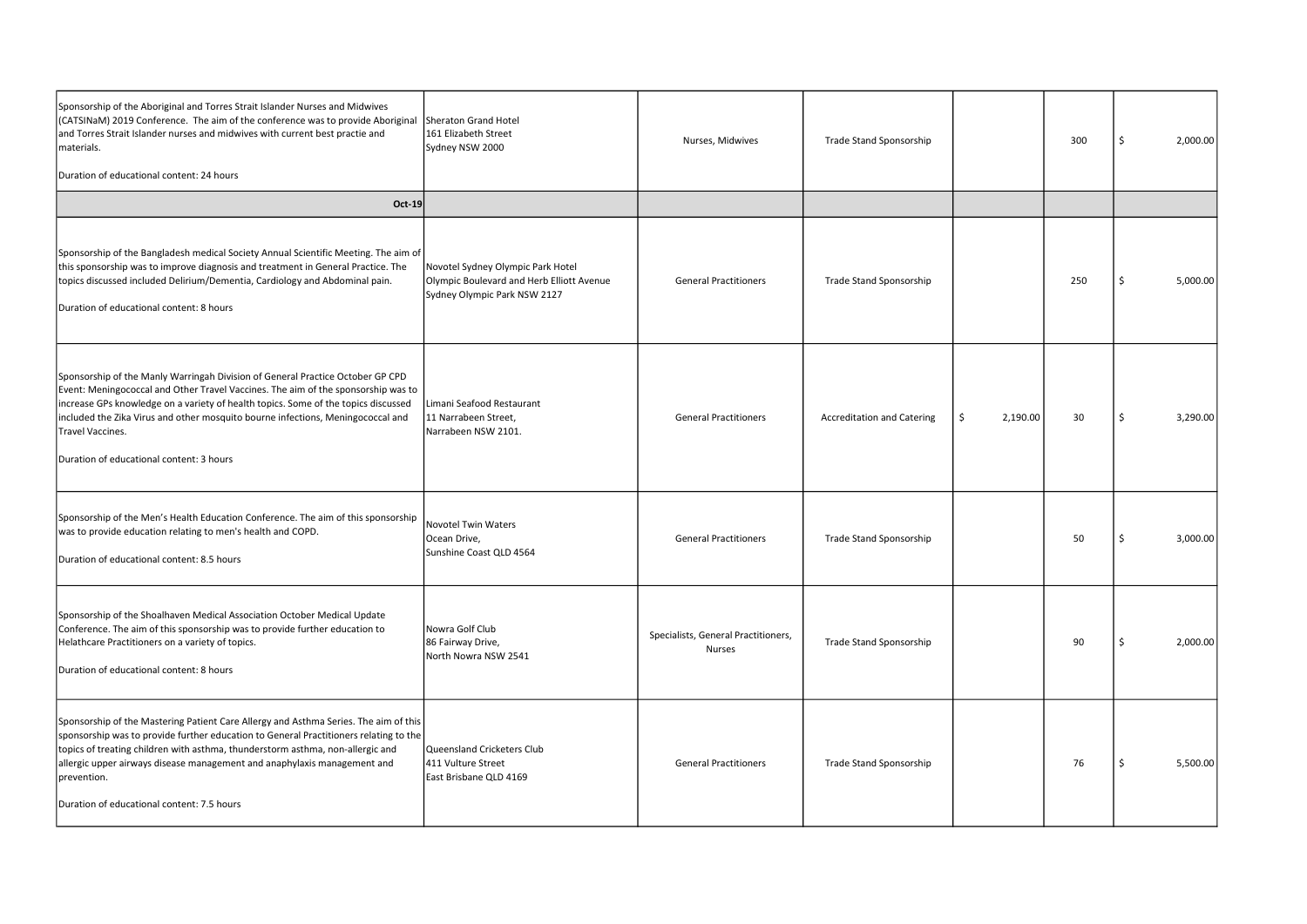| Sponsorship of the Aboriginal and Torres Strait Islander Nurses and Midwives<br>(CATSINaM) 2019 Conference. The aim of the conference was to provide Aboriginal<br>and Torres Strait Islander nurses and midwives with current best practie and<br>materials.<br>Duration of educational content: 24 hours                                                                                                   | Sheraton Grand Hotel<br>161 Elizabeth Street<br>Sydney NSW 2000                                                | Nurses, Midwives                                     | Trade Stand Sponsorship           |                | 300 | -Ś | 2,000.00 |
|--------------------------------------------------------------------------------------------------------------------------------------------------------------------------------------------------------------------------------------------------------------------------------------------------------------------------------------------------------------------------------------------------------------|----------------------------------------------------------------------------------------------------------------|------------------------------------------------------|-----------------------------------|----------------|-----|----|----------|
| <b>Oct-19</b>                                                                                                                                                                                                                                                                                                                                                                                                |                                                                                                                |                                                      |                                   |                |     |    |          |
| Sponsorship of the Bangladesh medical Society Annual Scientific Meeting. The aim of<br>this sponsorship was to improve diagnosis and treatment in General Practice. The<br>topics discussed included Delirium/Dementia, Cardiology and Abdominal pain.<br>Duration of educational content: 8 hours                                                                                                           | Novotel Sydney Olympic Park Hotel<br>Olympic Boulevard and Herb Elliott Avenue<br>Sydney Olympic Park NSW 2127 | <b>General Practitioners</b>                         | <b>Trade Stand Sponsorship</b>    |                | 250 |    | 5,000.00 |
| Sponsorship of the Manly Warringah Division of General Practice October GP CPD<br>Event: Meningococcal and Other Travel Vaccines. The aim of the sponsorship was to<br>increase GPs knowledge on a variety of health topics. Some of the topics discussed<br>included the Zika Virus and other mosquito bourne infections, Meningococcal and<br>Travel Vaccines.<br>Duration of educational content: 3 hours | Limani Seafood Restaurant<br>11 Narrabeen Street,<br>Narrabeen NSW 2101.                                       | <b>General Practitioners</b>                         | <b>Accreditation and Catering</b> | 2,190.00<br>-S | 30  | -S | 3,290.00 |
| Sponsorship of the Men's Health Education Conference. The aim of this sponsorship<br>was to provide education relating to men's health and COPD.<br>Duration of educational content: 8.5 hours                                                                                                                                                                                                               | Novotel Twin Waters<br>Ocean Drive,<br>Sunshine Coast QLD 4564                                                 | <b>General Practitioners</b>                         | Trade Stand Sponsorship           |                | 50  |    | 3,000.00 |
| Sponsorship of the Shoalhaven Medical Association October Medical Update<br>Conference. The aim of this sponsorship was to provide further education to<br>Helathcare Practitioners on a variety of topics.<br>Duration of educational content: 8 hours                                                                                                                                                      | Nowra Golf Club<br>86 Fairway Drive,<br>North Nowra NSW 2541                                                   | Specialists, General Practitioners,<br><b>Nurses</b> | Trade Stand Sponsorship           |                | 90  |    | 2,000.00 |
| Sponsorship of the Mastering Patient Care Allergy and Asthma Series. The aim of this<br>sponsorship was to provide further education to General Practitioners relating to the<br>topics of treating children with asthma, thunderstorm asthma, non-allergic and<br>allergic upper airways disease management and anaphylaxis management and<br>prevention.<br>Duration of educational content: 7.5 hours     | Queensland Cricketers Club<br>411 Vulture Street<br>East Brisbane QLD 4169                                     | <b>General Practitioners</b>                         | <b>Trade Stand Sponsorship</b>    |                | 76  |    | 5,500.00 |

| Trade Stand Sponsorship           |                | 300    | \$<br>2,000.00 |
|-----------------------------------|----------------|--------|----------------|
|                                   |                |        |                |
| Trade Stand Sponsorship           |                | 250    | \$<br>5,000.00 |
| <b>Accreditation and Catering</b> | 2,190.00<br>\$ | $30\,$ | \$<br>3,290.00 |
| Trade Stand Sponsorship           |                | 50     | \$<br>3,000.00 |
| Trade Stand Sponsorship           |                | $90\,$ | \$<br>2,000.00 |
| Trade Stand Sponsorship           |                | 76     | \$<br>5,500.00 |